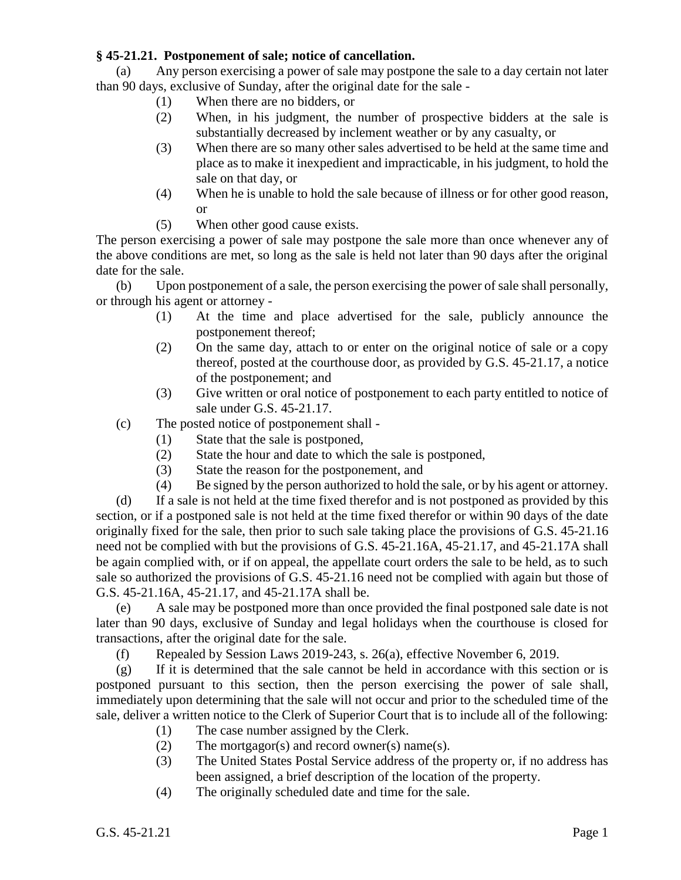## **§ 45-21.21. Postponement of sale; notice of cancellation.**

(a) Any person exercising a power of sale may postpone the sale to a day certain not later than 90 days, exclusive of Sunday, after the original date for the sale -

- (1) When there are no bidders, or
- (2) When, in his judgment, the number of prospective bidders at the sale is substantially decreased by inclement weather or by any casualty, or
- (3) When there are so many other sales advertised to be held at the same time and place as to make it inexpedient and impracticable, in his judgment, to hold the sale on that day, or
- (4) When he is unable to hold the sale because of illness or for other good reason, or
- (5) When other good cause exists.

The person exercising a power of sale may postpone the sale more than once whenever any of the above conditions are met, so long as the sale is held not later than 90 days after the original date for the sale.

(b) Upon postponement of a sale, the person exercising the power of sale shall personally, or through his agent or attorney -

- (1) At the time and place advertised for the sale, publicly announce the postponement thereof;
- (2) On the same day, attach to or enter on the original notice of sale or a copy thereof, posted at the courthouse door, as provided by G.S. 45-21.17, a notice of the postponement; and
- (3) Give written or oral notice of postponement to each party entitled to notice of sale under G.S. 45-21.17.
- (c) The posted notice of postponement shall
	- (1) State that the sale is postponed,
	- (2) State the hour and date to which the sale is postponed,
	- (3) State the reason for the postponement, and
	- (4) Be signed by the person authorized to hold the sale, or by his agent or attorney.

(d) If a sale is not held at the time fixed therefor and is not postponed as provided by this section, or if a postponed sale is not held at the time fixed therefor or within 90 days of the date originally fixed for the sale, then prior to such sale taking place the provisions of G.S. 45-21.16 need not be complied with but the provisions of G.S. 45-21.16A, 45-21.17, and 45-21.17A shall be again complied with, or if on appeal, the appellate court orders the sale to be held, as to such sale so authorized the provisions of G.S. 45-21.16 need not be complied with again but those of G.S. 45-21.16A, 45-21.17, and 45-21.17A shall be.

(e) A sale may be postponed more than once provided the final postponed sale date is not later than 90 days, exclusive of Sunday and legal holidays when the courthouse is closed for transactions, after the original date for the sale.

(f) Repealed by Session Laws 2019-243, s. 26(a), effective November 6, 2019.

(g) If it is determined that the sale cannot be held in accordance with this section or is postponed pursuant to this section, then the person exercising the power of sale shall, immediately upon determining that the sale will not occur and prior to the scheduled time of the sale, deliver a written notice to the Clerk of Superior Court that is to include all of the following:

- (1) The case number assigned by the Clerk.
- (2) The mortgagor(s) and record owner(s) name(s).
- (3) The United States Postal Service address of the property or, if no address has been assigned, a brief description of the location of the property.
- (4) The originally scheduled date and time for the sale.